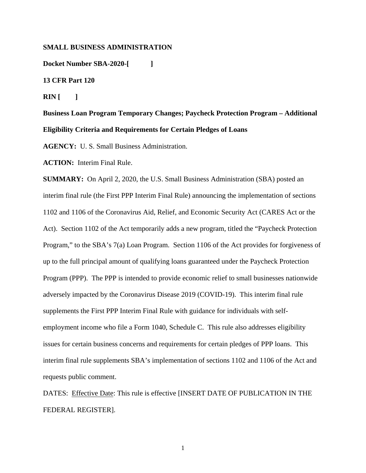# **SMALL BUSINESS ADMINISTRATION**

**Docket Number SBA-2020-[ ]** 

# **13 CFR Part 120**

**RIN** [ ]

**Business Loan Program Temporary Changes; Paycheck Protection Program – Additional Eligibility Criteria and Requirements for Certain Pledges of Loans** 

**AGENCY:** U. S. Small Business Administration.

**ACTION:** Interim Final Rule.

**SUMMARY:** On April 2, 2020, the U.S. Small Business Administration (SBA) posted an interim final rule (the First PPP Interim Final Rule) announcing the implementation of sections 1102 and 1106 of the Coronavirus Aid, Relief, and Economic Security Act (CARES Act or the Act). Section 1102 of the Act temporarily adds a new program, titled the "Paycheck Protection Program," to the SBA's 7(a) Loan Program. Section 1106 of the Act provides for forgiveness of up to the full principal amount of qualifying loans guaranteed under the Paycheck Protection Program (PPP). The PPP is intended to provide economic relief to small businesses nationwide adversely impacted by the Coronavirus Disease 2019 (COVID-19). This interim final rule supplements the First PPP Interim Final Rule with guidance for individuals with selfemployment income who file a Form 1040, Schedule C. This rule also addresses eligibility issues for certain business concerns and requirements for certain pledges of PPP loans. This interim final rule supplements SBA's implementation of sections 1102 and 1106 of the Act and requests public comment.

DATES: Effective Date: This rule is effective [INSERT DATE OF PUBLICATION IN THE FEDERAL REGISTER].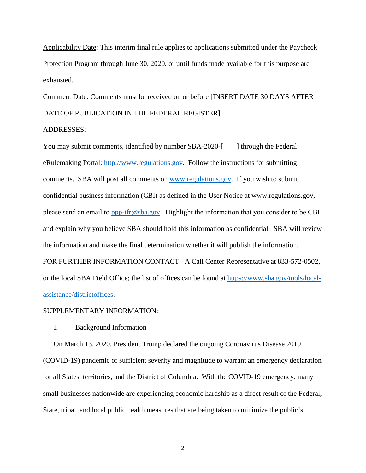Applicability Date: This interim final rule applies to applications submitted under the Paycheck Protection Program through June 30, 2020, or until funds made available for this purpose are exhausted.

Comment Date: Comments must be received on or before [INSERT DATE 30 DAYS AFTER DATE OF PUBLICATION IN THE FEDERAL REGISTER].

# ADDRESSES:

You may submit comments, identified by number SBA-2020-[ ] through the Federal eRulemaking Portal: http://www.regulations.gov. Follow the instructions for submitting comments. SBA will post all comments on www.regulations.gov. If you wish to submit confidential business information (CBI) as defined in the User Notice at www.regulations.gov, please send an email to ppp-ifr@sba.gov. Highlight the information that you consider to be CBI and explain why you believe SBA should hold this information as confidential. SBA will review the information and make the final determination whether it will publish the information. FOR FURTHER INFORMATION CONTACT: A Call Center Representative at 833-572-0502, or the local SBA Field Office; the list of offices can be found at https://www.sba.gov/tools/localassistance/districtoffices.

#### SUPPLEMENTARY INFORMATION:

# I. Background Information

On March 13, 2020, President Trump declared the ongoing Coronavirus Disease 2019 (COVID-19) pandemic of sufficient severity and magnitude to warrant an emergency declaration for all States, territories, and the District of Columbia. With the COVID-19 emergency, many small businesses nationwide are experiencing economic hardship as a direct result of the Federal, State, tribal, and local public health measures that are being taken to minimize the public's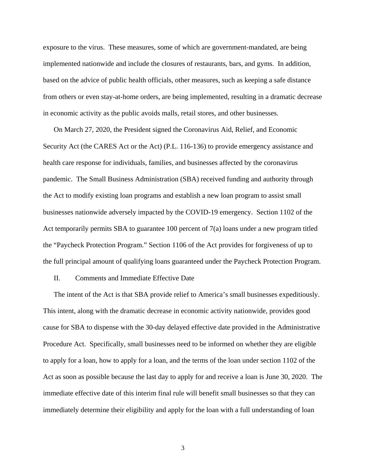exposure to the virus. These measures, some of which are government-mandated, are being implemented nationwide and include the closures of restaurants, bars, and gyms. In addition, based on the advice of public health officials, other measures, such as keeping a safe distance from others or even stay-at-home orders, are being implemented, resulting in a dramatic decrease in economic activity as the public avoids malls, retail stores, and other businesses.

On March 27, 2020, the President signed the Coronavirus Aid, Relief, and Economic Security Act (the CARES Act or the Act) (P.L. 116-136) to provide emergency assistance and health care response for individuals, families, and businesses affected by the coronavirus pandemic. The Small Business Administration (SBA) received funding and authority through the Act to modify existing loan programs and establish a new loan program to assist small businesses nationwide adversely impacted by the COVID-19 emergency. Section 1102 of the Act temporarily permits SBA to guarantee 100 percent of 7(a) loans under a new program titled the "Paycheck Protection Program." Section 1106 of the Act provides for forgiveness of up to the full principal amount of qualifying loans guaranteed under the Paycheck Protection Program.

# II. Comments and Immediate Effective Date

The intent of the Act is that SBA provide relief to America's small businesses expeditiously. This intent, along with the dramatic decrease in economic activity nationwide, provides good cause for SBA to dispense with the 30-day delayed effective date provided in the Administrative Procedure Act. Specifically, small businesses need to be informed on whether they are eligible to apply for a loan, how to apply for a loan, and the terms of the loan under section 1102 of the Act as soon as possible because the last day to apply for and receive a loan is June 30, 2020. The immediate effective date of this interim final rule will benefit small businesses so that they can immediately determine their eligibility and apply for the loan with a full understanding of loan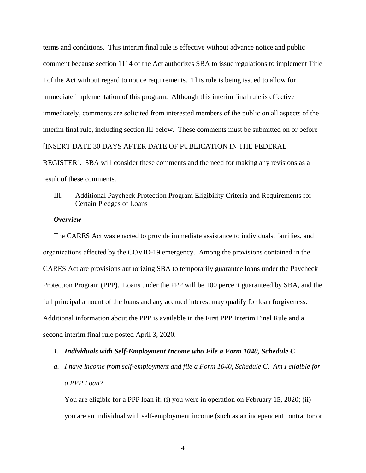terms and conditions. This interim final rule is effective without advance notice and public comment because section 1114 of the Act authorizes SBA to issue regulations to implement Title I of the Act without regard to notice requirements. This rule is being issued to allow for immediate implementation of this program. Although this interim final rule is effective immediately, comments are solicited from interested members of the public on all aspects of the interim final rule, including section III below. These comments must be submitted on or before [INSERT DATE 30 DAYS AFTER DATE OF PUBLICATION IN THE FEDERAL REGISTER]. SBA will consider these comments and the need for making any revisions as a

result of these comments.

# III. Additional Paycheck Protection Program Eligibility Criteria and Requirements for Certain Pledges of Loans

# *Overview*

The CARES Act was enacted to provide immediate assistance to individuals, families, and organizations affected by the COVID-19 emergency. Among the provisions contained in the CARES Act are provisions authorizing SBA to temporarily guarantee loans under the Paycheck Protection Program (PPP). Loans under the PPP will be 100 percent guaranteed by SBA, and the full principal amount of the loans and any accrued interest may qualify for loan forgiveness. Additional information about the PPP is available in the First PPP Interim Final Rule and a second interim final rule posted April 3, 2020.

# *1. Individuals with Self-Employment Income who File a Form 1040, Schedule C*

*a. I have income from self-employment and file a Form 1040, Schedule C. Am I eligible for a PPP Loan?* 

You are eligible for a PPP loan if: (i) you were in operation on February 15, 2020; (ii) you are an individual with self-employment income (such as an independent contractor or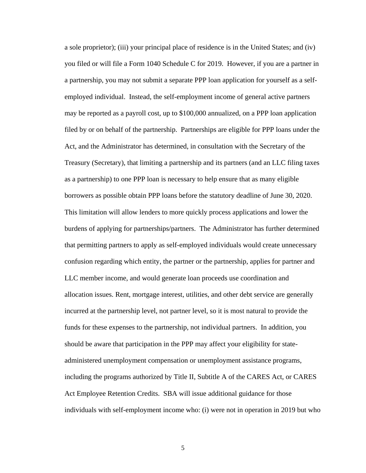a sole proprietor); (iii) your principal place of residence is in the United States; and (iv) you filed or will file a Form 1040 Schedule C for 2019. However, if you are a partner in a partnership, you may not submit a separate PPP loan application for yourself as a selfemployed individual. Instead, the self-employment income of general active partners may be reported as a payroll cost, up to \$100,000 annualized, on a PPP loan application filed by or on behalf of the partnership. Partnerships are eligible for PPP loans under the Act, and the Administrator has determined, in consultation with the Secretary of the Treasury (Secretary), that limiting a partnership and its partners (and an LLC filing taxes as a partnership) to one PPP loan is necessary to help ensure that as many eligible borrowers as possible obtain PPP loans before the statutory deadline of June 30, 2020. This limitation will allow lenders to more quickly process applications and lower the burdens of applying for partnerships/partners. The Administrator has further determined that permitting partners to apply as self-employed individuals would create unnecessary confusion regarding which entity, the partner or the partnership, applies for partner and LLC member income, and would generate loan proceeds use coordination and allocation issues. Rent, mortgage interest, utilities, and other debt service are generally incurred at the partnership level, not partner level, so it is most natural to provide the funds for these expenses to the partnership, not individual partners. In addition, you should be aware that participation in the PPP may affect your eligibility for stateadministered unemployment compensation or unemployment assistance programs, including the programs authorized by Title II, Subtitle A of the CARES Act, or CARES Act Employee Retention Credits. SBA will issue additional guidance for those individuals with self-employment income who: (i) were not in operation in 2019 but who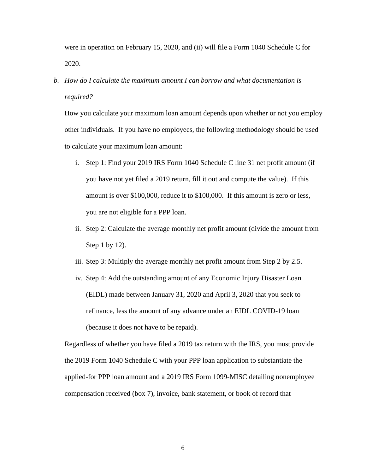were in operation on February 15, 2020, and (ii) will file a Form 1040 Schedule C for 2020.

*b. How do I calculate the maximum amount I can borrow and what documentation is required?* 

How you calculate your maximum loan amount depends upon whether or not you employ other individuals. If you have no employees, the following methodology should be used to calculate your maximum loan amount:

- i. Step 1: Find your 2019 IRS Form 1040 Schedule C line 31 net profit amount (if you have not yet filed a 2019 return, fill it out and compute the value). If this amount is over \$100,000, reduce it to \$100,000. If this amount is zero or less, you are not eligible for a PPP loan.
- ii. Step 2: Calculate the average monthly net profit amount (divide the amount from Step 1 by 12).
- iii. Step 3: Multiply the average monthly net profit amount from Step 2 by 2.5.
- iv. Step 4: Add the outstanding amount of any Economic Injury Disaster Loan (EIDL) made between January 31, 2020 and April 3, 2020 that you seek to refinance, less the amount of any advance under an EIDL COVID-19 loan (because it does not have to be repaid).

Regardless of whether you have filed a 2019 tax return with the IRS, you must provide the 2019 Form 1040 Schedule C with your PPP loan application to substantiate the applied-for PPP loan amount and a 2019 IRS Form 1099-MISC detailing nonemployee compensation received (box 7), invoice, bank statement, or book of record that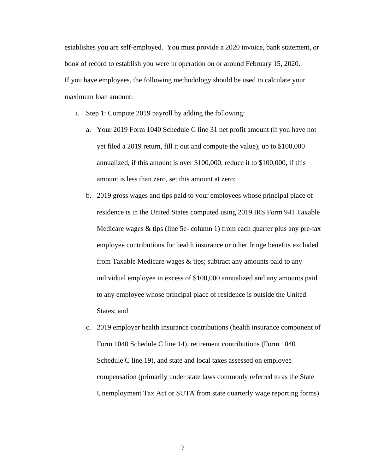establishes you are self-employed. You must provide a 2020 invoice, bank statement, or book of record to establish you were in operation on or around February 15, 2020. If you have employees, the following methodology should be used to calculate your maximum loan amount:

- i. Step 1: Compute 2019 payroll by adding the following:
	- a. Your 2019 Form 1040 Schedule C line 31 net profit amount (if you have not yet filed a 2019 return, fill it out and compute the value), up to \$100,000 annualized, if this amount is over \$100,000, reduce it to \$100,000, if this amount is less than zero, set this amount at zero;
	- b. 2019 gross wages and tips paid to your employees whose principal place of residence is in the United States computed using 2019 IRS Form 941 Taxable Medicare wages & tips (line 5c- column 1) from each quarter plus any pre-tax employee contributions for health insurance or other fringe benefits excluded from Taxable Medicare wages & tips; subtract any amounts paid to any individual employee in excess of \$100,000 annualized and any amounts paid to any employee whose principal place of residence is outside the United States; and
	- c. 2019 employer health insurance contributions (health insurance component of Form 1040 Schedule C line 14), retirement contributions (Form 1040 Schedule C line 19), and state and local taxes assessed on employee compensation (primarily under state laws commonly referred to as the State Unemployment Tax Act or SUTA from state quarterly wage reporting forms).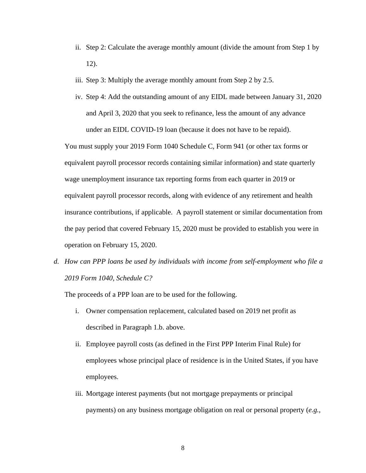- ii. Step 2: Calculate the average monthly amount (divide the amount from Step 1 by 12).
- iii. Step 3: Multiply the average monthly amount from Step 2 by 2.5.
- iv. Step 4: Add the outstanding amount of any EIDL made between January 31, 2020 and April 3, 2020 that you seek to refinance, less the amount of any advance under an EIDL COVID-19 loan (because it does not have to be repaid).

You must supply your 2019 Form 1040 Schedule C, Form 941 (or other tax forms or equivalent payroll processor records containing similar information) and state quarterly wage unemployment insurance tax reporting forms from each quarter in 2019 or equivalent payroll processor records, along with evidence of any retirement and health insurance contributions, if applicable. A payroll statement or similar documentation from the pay period that covered February 15, 2020 must be provided to establish you were in operation on February 15, 2020.

*d. How can PPP loans be used by individuals with income from self-employment who file a 2019 Form 1040, Schedule C?* 

The proceeds of a PPP loan are to be used for the following.

- i. Owner compensation replacement, calculated based on 2019 net profit as described in Paragraph 1.b. above.
- ii. Employee payroll costs (as defined in the First PPP Interim Final Rule) for employees whose principal place of residence is in the United States, if you have employees.
- iii. Mortgage interest payments (but not mortgage prepayments or principal payments) on any business mortgage obligation on real or personal property (*e.g.*,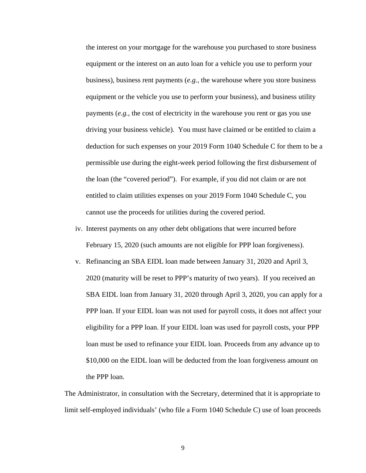the interest on your mortgage for the warehouse you purchased to store business equipment or the interest on an auto loan for a vehicle you use to perform your business), business rent payments (*e.g.*, the warehouse where you store business equipment or the vehicle you use to perform your business), and business utility payments (*e.g.*, the cost of electricity in the warehouse you rent or gas you use driving your business vehicle). You must have claimed or be entitled to claim a deduction for such expenses on your 2019 Form 1040 Schedule C for them to be a permissible use during the eight-week period following the first disbursement of the loan (the "covered period"). For example, if you did not claim or are not entitled to claim utilities expenses on your 2019 Form 1040 Schedule C, you cannot use the proceeds for utilities during the covered period.

- iv. Interest payments on any other debt obligations that were incurred before February 15, 2020 (such amounts are not eligible for PPP loan forgiveness).
- v. Refinancing an SBA EIDL loan made between January 31, 2020 and April 3, 2020 (maturity will be reset to PPP's maturity of two years). If you received an SBA EIDL loan from January 31, 2020 through April 3, 2020, you can apply for a PPP loan. If your EIDL loan was not used for payroll costs, it does not affect your eligibility for a PPP loan. If your EIDL loan was used for payroll costs, your PPP loan must be used to refinance your EIDL loan. Proceeds from any advance up to \$10,000 on the EIDL loan will be deducted from the loan forgiveness amount on the PPP loan.

The Administrator, in consultation with the Secretary, determined that it is appropriate to limit self-employed individuals' (who file a Form 1040 Schedule C) use of loan proceeds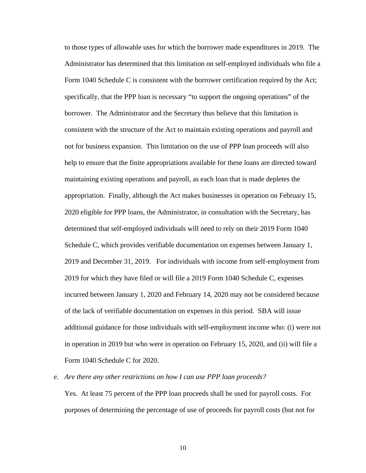to those types of allowable uses for which the borrower made expenditures in 2019. The Administrator has determined that this limitation on self-employed individuals who file a Form 1040 Schedule C is consistent with the borrower certification required by the Act; specifically, that the PPP loan is necessary "to support the ongoing operations" of the borrower. The Administrator and the Secretary thus believe that this limitation is consistent with the structure of the Act to maintain existing operations and payroll and not for business expansion. This limitation on the use of PPP loan proceeds will also help to ensure that the finite appropriations available for these loans are directed toward maintaining existing operations and payroll, as each loan that is made depletes the appropriation. Finally, although the Act makes businesses in operation on February 15, 2020 eligible for PPP loans, the Administrator, in consultation with the Secretary, has determined that self-employed individuals will need to rely on their 2019 Form 1040 Schedule C, which provides verifiable documentation on expenses between January 1, 2019 and December 31, 2019. For individuals with income from self-employment from 2019 for which they have filed or will file a 2019 Form 1040 Schedule C, expenses incurred between January 1, 2020 and February 14, 2020 may not be considered because of the lack of verifiable documentation on expenses in this period. SBA will issue additional guidance for those individuals with self-employment income who: (i) were not in operation in 2019 but who were in operation on February 15, 2020, and (ii) will file a Form 1040 Schedule C for 2020.

*e. Are there any other restrictions on how I can use PPP loan proceeds?* 

Yes. At least 75 percent of the PPP loan proceeds shall be used for payroll costs. For purposes of determining the percentage of use of proceeds for payroll costs (but not for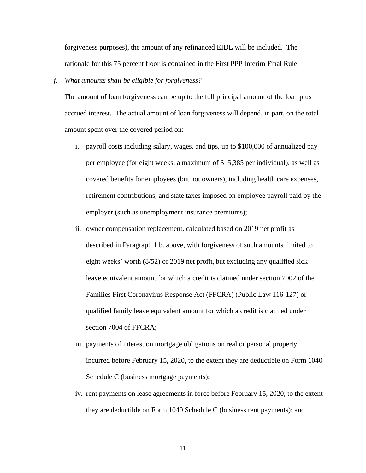forgiveness purposes), the amount of any refinanced EIDL will be included. The rationale for this 75 percent floor is contained in the First PPP Interim Final Rule.

## *f. What amounts shall be eligible for forgiveness?*

The amount of loan forgiveness can be up to the full principal amount of the loan plus accrued interest. The actual amount of loan forgiveness will depend, in part, on the total amount spent over the covered period on:

- i. payroll costs including salary, wages, and tips, up to \$100,000 of annualized pay per employee (for eight weeks, a maximum of \$15,385 per individual), as well as covered benefits for employees (but not owners), including health care expenses, retirement contributions, and state taxes imposed on employee payroll paid by the employer (such as unemployment insurance premiums);
- ii. owner compensation replacement, calculated based on 2019 net profit as described in Paragraph 1.b. above, with forgiveness of such amounts limited to eight weeks' worth (8/52) of 2019 net profit, but excluding any qualified sick leave equivalent amount for which a credit is claimed under section 7002 of the Families First Coronavirus Response Act (FFCRA) (Public Law 116-127) or qualified family leave equivalent amount for which a credit is claimed under section 7004 of FFCRA;
- iii. payments of interest on mortgage obligations on real or personal property incurred before February 15, 2020, to the extent they are deductible on Form 1040 Schedule C (business mortgage payments);
- iv. rent payments on lease agreements in force before February 15, 2020, to the extent they are deductible on Form 1040 Schedule C (business rent payments); and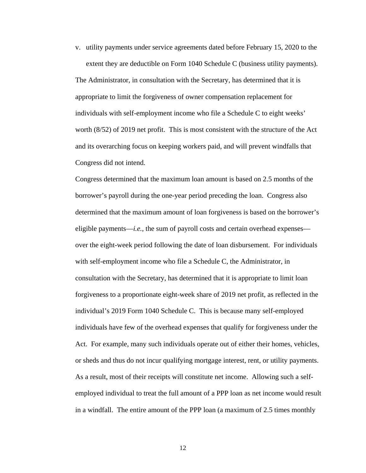v. utility payments under service agreements dated before February 15, 2020 to the extent they are deductible on Form 1040 Schedule C (business utility payments).

The Administrator, in consultation with the Secretary, has determined that it is appropriate to limit the forgiveness of owner compensation replacement for individuals with self-employment income who file a Schedule C to eight weeks' worth (8/52) of 2019 net profit. This is most consistent with the structure of the Act and its overarching focus on keeping workers paid, and will prevent windfalls that Congress did not intend.

Congress determined that the maximum loan amount is based on 2.5 months of the borrower's payroll during the one-year period preceding the loan. Congress also determined that the maximum amount of loan forgiveness is based on the borrower's eligible payments—*i.e.*, the sum of payroll costs and certain overhead expenses over the eight-week period following the date of loan disbursement. For individuals with self-employment income who file a Schedule C, the Administrator, in consultation with the Secretary, has determined that it is appropriate to limit loan forgiveness to a proportionate eight-week share of 2019 net profit, as reflected in the individual's 2019 Form 1040 Schedule C. This is because many self-employed individuals have few of the overhead expenses that qualify for forgiveness under the Act. For example, many such individuals operate out of either their homes, vehicles, or sheds and thus do not incur qualifying mortgage interest, rent, or utility payments. As a result, most of their receipts will constitute net income. Allowing such a selfemployed individual to treat the full amount of a PPP loan as net income would result in a windfall. The entire amount of the PPP loan (a maximum of 2.5 times monthly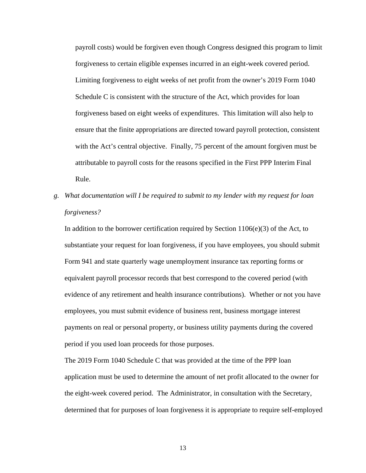payroll costs) would be forgiven even though Congress designed this program to limit forgiveness to certain eligible expenses incurred in an eight-week covered period. Limiting forgiveness to eight weeks of net profit from the owner's 2019 Form 1040 Schedule C is consistent with the structure of the Act, which provides for loan forgiveness based on eight weeks of expenditures. This limitation will also help to ensure that the finite appropriations are directed toward payroll protection, consistent with the Act's central objective. Finally, 75 percent of the amount forgiven must be attributable to payroll costs for the reasons specified in the First PPP Interim Final Rule.

*g. What documentation will I be required to submit to my lender with my request for loan forgiveness?* 

In addition to the borrower certification required by Section  $1106(e)(3)$  of the Act, to substantiate your request for loan forgiveness, if you have employees, you should submit Form 941 and state quarterly wage unemployment insurance tax reporting forms or equivalent payroll processor records that best correspond to the covered period (with evidence of any retirement and health insurance contributions). Whether or not you have employees, you must submit evidence of business rent, business mortgage interest payments on real or personal property, or business utility payments during the covered period if you used loan proceeds for those purposes.

The 2019 Form 1040 Schedule C that was provided at the time of the PPP loan application must be used to determine the amount of net profit allocated to the owner for the eight-week covered period. The Administrator, in consultation with the Secretary, determined that for purposes of loan forgiveness it is appropriate to require self-employed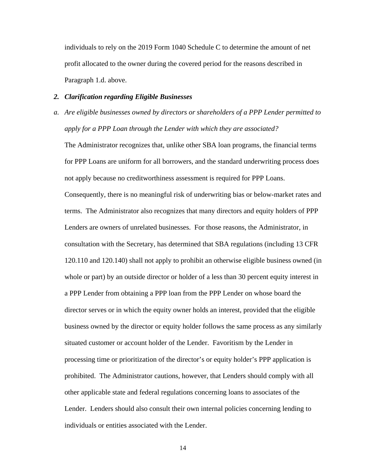individuals to rely on the 2019 Form 1040 Schedule C to determine the amount of net profit allocated to the owner during the covered period for the reasons described in Paragraph 1.d. above.

## *2. Clarification regarding Eligible Businesses*

*a. Are eligible businesses owned by directors or shareholders of a PPP Lender permitted to apply for a PPP Loan through the Lender with which they are associated?* 

The Administrator recognizes that, unlike other SBA loan programs, the financial terms for PPP Loans are uniform for all borrowers, and the standard underwriting process does not apply because no creditworthiness assessment is required for PPP Loans. Consequently, there is no meaningful risk of underwriting bias or below-market rates and terms. The Administrator also recognizes that many directors and equity holders of PPP Lenders are owners of unrelated businesses. For those reasons, the Administrator, in consultation with the Secretary, has determined that SBA regulations (including 13 CFR 120.110 and 120.140) shall not apply to prohibit an otherwise eligible business owned (in whole or part) by an outside director or holder of a less than 30 percent equity interest in a PPP Lender from obtaining a PPP loan from the PPP Lender on whose board the director serves or in which the equity owner holds an interest, provided that the eligible business owned by the director or equity holder follows the same process as any similarly situated customer or account holder of the Lender. Favoritism by the Lender in processing time or prioritization of the director's or equity holder's PPP application is prohibited. The Administrator cautions, however, that Lenders should comply with all other applicable state and federal regulations concerning loans to associates of the Lender. Lenders should also consult their own internal policies concerning lending to individuals or entities associated with the Lender.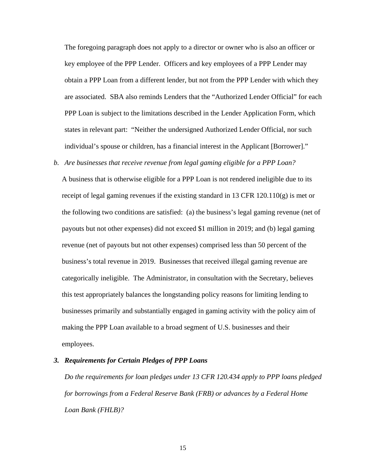The foregoing paragraph does not apply to a director or owner who is also an officer or key employee of the PPP Lender. Officers and key employees of a PPP Lender may obtain a PPP Loan from a different lender, but not from the PPP Lender with which they are associated. SBA also reminds Lenders that the "Authorized Lender Official" for each PPP Loan is subject to the limitations described in the Lender Application Form, which states in relevant part: "Neither the undersigned Authorized Lender Official, nor such individual's spouse or children, has a financial interest in the Applicant [Borrower]."

#### *b. Are businesses that receive revenue from legal gaming eligible for a PPP Loan?*

A business that is otherwise eligible for a PPP Loan is not rendered ineligible due to its receipt of legal gaming revenues if the existing standard in 13 CFR  $120.110(g)$  is met or the following two conditions are satisfied: (a) the business's legal gaming revenue (net of payouts but not other expenses) did not exceed \$1 million in 2019; and (b) legal gaming revenue (net of payouts but not other expenses) comprised less than 50 percent of the business's total revenue in 2019. Businesses that received illegal gaming revenue are categorically ineligible. The Administrator, in consultation with the Secretary, believes this test appropriately balances the longstanding policy reasons for limiting lending to businesses primarily and substantially engaged in gaming activity with the policy aim of making the PPP Loan available to a broad segment of U.S. businesses and their employees.

#### *3. Requirements for Certain Pledges of PPP Loans*

*Do the requirements for loan pledges under 13 CFR 120.434 apply to PPP loans pledged for borrowings from a Federal Reserve Bank (FRB) or advances by a Federal Home Loan Bank (FHLB)?*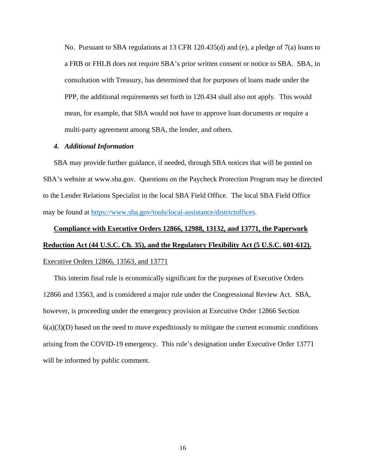No. Pursuant to SBA regulations at 13 CFR 120.435(d) and (e), a pledge of 7(a) loans to a FRB or FHLB does not require SBA's prior written consent or notice to SBA. SBA, in consultation with Treasury, has determined that for purposes of loans made under the PPP, the additional requirements set forth in 120.434 shall also not apply. This would mean, for example, that SBA would not have to approve loan documents or require a multi-party agreement among SBA, the lender, and others.

# *4. Additional Information*

SBA may provide further guidance, if needed, through SBA notices that will be posted on SBA's website at www.sba.gov. Questions on the Paycheck Protection Program may be directed to the Lender Relations Specialist in the local SBA Field Office. The local SBA Field Office may be found at https://www.sba.gov/tools/local-assistance/districtoffices.

# **Compliance with Executive Orders 12866, 12988, 13132, and 13771, the Paperwork Reduction Act (44 U.S.C. Ch. 35), and the Regulatory Flexibility Act (5 U.S.C. 601-612).** Executive Orders 12866, 13563, and 13771

This interim final rule is economically significant for the purposes of Executive Orders 12866 and 13563, and is considered a major rule under the Congressional Review Act. SBA, however, is proceeding under the emergency provision at Executive Order 12866 Section  $6(a)(3)(D)$  based on the need to move expeditiously to mitigate the current economic conditions arising from the COVID-19 emergency. This rule's designation under Executive Order 13771 will be informed by public comment.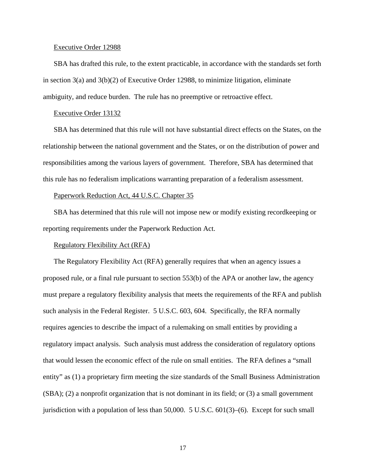#### Executive Order 12988

SBA has drafted this rule, to the extent practicable, in accordance with the standards set forth in section 3(a) and 3(b)(2) of Executive Order 12988, to minimize litigation, eliminate ambiguity, and reduce burden. The rule has no preemptive or retroactive effect.

#### Executive Order 13132

SBA has determined that this rule will not have substantial direct effects on the States, on the relationship between the national government and the States, or on the distribution of power and responsibilities among the various layers of government. Therefore, SBA has determined that this rule has no federalism implications warranting preparation of a federalism assessment.

## Paperwork Reduction Act, 44 U.S.C. Chapter 35

SBA has determined that this rule will not impose new or modify existing recordkeeping or reporting requirements under the Paperwork Reduction Act.

# Regulatory Flexibility Act (RFA)

The Regulatory Flexibility Act (RFA) generally requires that when an agency issues a proposed rule, or a final rule pursuant to section 553(b) of the APA or another law, the agency must prepare a regulatory flexibility analysis that meets the requirements of the RFA and publish such analysis in the Federal Register. 5 U.S.C. 603, 604. Specifically, the RFA normally requires agencies to describe the impact of a rulemaking on small entities by providing a regulatory impact analysis. Such analysis must address the consideration of regulatory options that would lessen the economic effect of the rule on small entities. The RFA defines a "small entity" as (1) a proprietary firm meeting the size standards of the Small Business Administration (SBA); (2) a nonprofit organization that is not dominant in its field; or (3) a small government jurisdiction with a population of less than  $50,000$ .  $5 \text{ U.S.C. } 601(3)$ –(6). Except for such small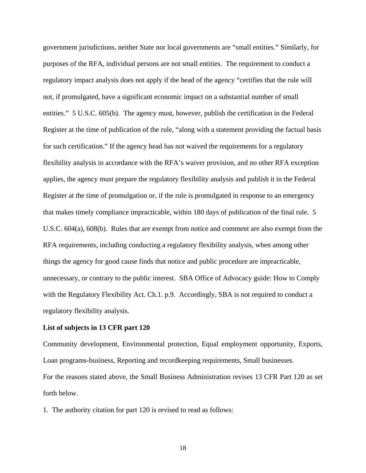government jurisdictions, neither State nor local governments are "small entities." Similarly, for purposes of the RFA, individual persons are not small entities. The requirement to conduct a regulatory impact analysis does not apply if the head of the agency "certifies that the rule will not, if promulgated, have a significant economic impact on a substantial number of small entities." 5 U.S.C. 605(b). The agency must, however, publish the certification in the Federal Register at the time of publication of the rule, "along with a statement providing the factual basis for such certification." If the agency head has not waived the requirements for a regulatory flexibility analysis in accordance with the RFA's waiver provision, and no other RFA exception applies, the agency must prepare the regulatory flexibility analysis and publish it in the Federal Register at the time of promulgation or, if the rule is promulgated in response to an emergency that makes timely compliance impracticable, within 180 days of publication of the final rule. 5 U.S.C. 604(a), 608(b). Rules that are exempt from notice and comment are also exempt from the RFA requirements, including conducting a regulatory flexibility analysis, when among other things the agency for good cause finds that notice and public procedure are impracticable, unnecessary, or contrary to the public interest. SBA Office of Advocacy guide: How to Comply with the Regulatory Flexibility Act. Ch.1. p.9. Accordingly, SBA is not required to conduct a regulatory flexibility analysis.

# **List of subjects in 13 CFR part 120**

Community development, Environmental protection, Equal employment opportunity, Exports, Loan programs-business, Reporting and recordkeeping requirements, Small businesses. For the reasons stated above, the Small Business Administration revises 13 CFR Part 120 as set forth below.

1. The authority citation for part 120 is revised to read as follows: